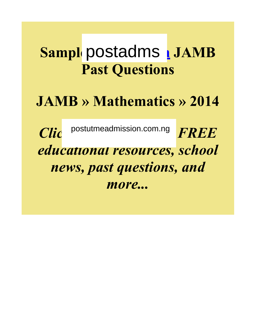# **Sample postadms | JAMB Past Questions**

# **JAMB » Mathematics » 2014**

 $\overline{\textit{Clic}}$  postutmeadmission.com.ng FREE *educational resources, school news, past questions, and more...*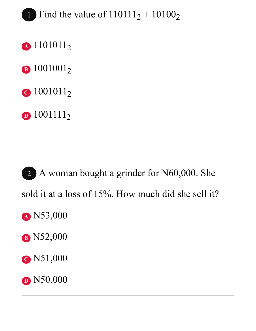# 1 Find the value of  $110111_2 + 10100_2$

- **<sup>A</sup>** 1101011<sup>2</sup>
- **B** 1001001<sub>2</sub>
- **C** 1001011<sub>2</sub>
- **D** 1001111<sub>2</sub>

2 A woman bought a grinder for N60,000. She sold it at a loss of 15%. How much did she sell it? **<sup>A</sup>** N53,000 **<sup>B</sup>** N52,000 **<sup>C</sup>** N51,000 **D** N50,000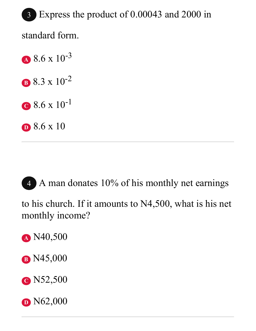3 Express the product of 0.00043 and 2000 in standard form.

**<sup>A</sup>** 8.6 x 10-3 **B** 8.3 x 10<sup>-2</sup> **<sup>C</sup>** 8.6 x 10-1 **<sup>D</sup>** 8.6 x 10

4 A man donates 10% of his monthly net earnings

to his church. If it amounts to N4,500, what is his net monthly income?

- **<sup>A</sup>** N40,500
- **<sup>B</sup>** N45,000
- **<sup>C</sup>** N52,500
- **D** N62,000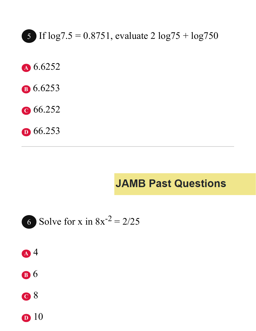5 If  $\log 7.5 = 0.8751$ , evaluate  $2 \log 75 + \log 750$ 

- A 6.6252
- **B** 6.6253
- $C$  66.252
- $\textbf{D}$  66.253

## **JAMB Past Questions**





**B** 6



 $\mathbf{D}$  10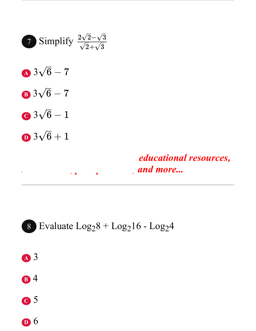



#### 8 Evaluate  $Log<sub>2</sub>8 + Log<sub>2</sub>16 - Log<sub>2</sub>4$



- **<sup>B</sup>** 4
- **<sup>C</sup>** 5
- **<sup>D</sup>** 6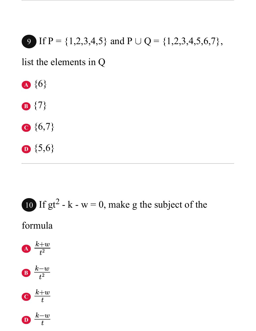9 If P = 
$$
\{1,2,3,4,5\}
$$
 and P  $\cup$  Q =  $\{1,2,3,4,5,6,7\}$ ,

list the elements in Q



- **<sup>B</sup>** {7}
- **<sup>C</sup>** {6,7}
- **<sup>D</sup>** {5,6}



#### formula

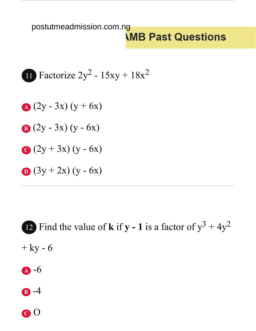#### postutmeadmission.com.ng*<u>IMB</u>* Past Questions

$$
11 Factorize 2y^2 - 15xy + 18x^2
$$

**A** 
$$
(2y - 3x) (y + 6x)
$$

**B** 
$$
(2y - 3x) (y - 6x)
$$

$$
Q(2y+3x)(y-6x)
$$

$$
\mathbf{D}(3y+2x)(y-6x)
$$

12 Find the value of **k** if **y** - 1 is a factor of  $y^3 + 4y^2$  $+$  ky -  $6$ 

- **<sup>A</sup>** -6
- **<sup>B</sup>** -4

**<sup>C</sup>** O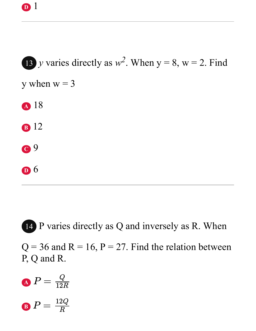13 *y* varies directly as  $w^2$ . When  $y = 8$ ,  $w = 2$ . Find y when  $w = 3$ **<sup>A</sup>** 18 **<sup>B</sup>** 12 **<sup>C</sup>** 9 **<sup>D</sup>** 6

14 P varies directly as Q and inversely as R. When  $Q = 36$  and  $R = 16$ ,  $P = 27$ . Find the relation between

P, Q and R.

\n
$$
P = \frac{Q}{12R}
$$
\n

\n\n $P = \frac{12Q}{R}$ \n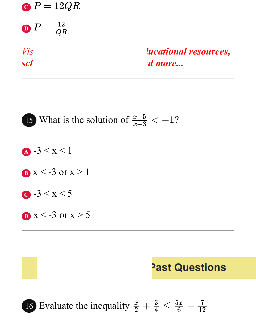$\overline{\textbf{C}}$   $P = 12QR$ **D**  $P = \frac{12}{QR}$ *sch* news, *and more...* 

*Vis For FREE educational resources,* 



#### **Past Questions**

16 Evaluate the inequality  $\frac{x}{2}$  $\frac{x}{2}+\frac{3}{4}\leq\frac{5x}{6}$  $\frac{x}{3} - \frac{7}{12}$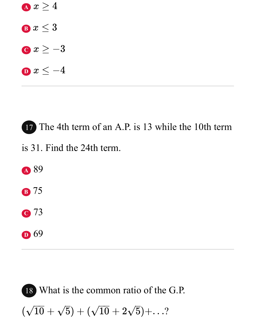

17 The 4th term of an A.P. is 13 while the 10th term is 31. Find the 24th term. **<sup>A</sup>** 89 **<sup>B</sup>** 75

- **<sup>C</sup>** 73
- **<sup>D</sup>** 69

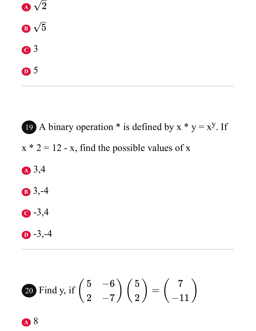

19 A binary operation  $*$  is defined by  $x * y = x^y$ . If  $x * 2 = 12 - x$ , find the possible values of x **<sup>A</sup>** 3,4 **<sup>B</sup>** 3,-4 **<sup>C</sup>** -3,4 **<sup>D</sup>** -3,-4

20 Find y, if 
$$
\begin{pmatrix} 5 & -6 \\ 2 & -7 \end{pmatrix} \begin{pmatrix} 5 \\ 2 \end{pmatrix} = \begin{pmatrix} 7 \\ -11 \end{pmatrix}
$$

**<sup>A</sup>** 8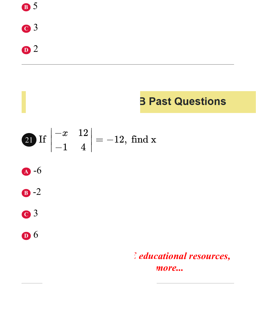

## **3 Past Questions**

$$
\textbf{20 If } \begin{vmatrix} -x & 12 \\ -1 & 4 \end{vmatrix} = -12, \text{ find } \textbf{x}
$$





$$
c3
$$

 $\mathbf{D}$  6

### deducational resources, more...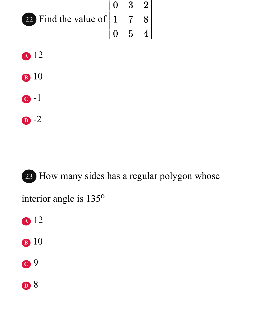

**<sup>D</sup>** -2

**<sup>D</sup>** 8

23 How many sides has a regular polygon whose interior angle is 135<sup>o</sup> **<sup>A</sup>** 12 **<sup>B</sup>** 10 **<sup>C</sup>** 9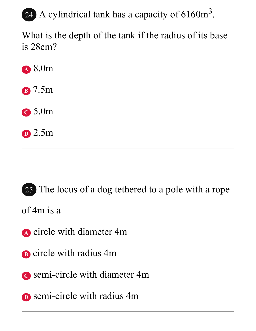## 24 A cylindrical tank has a capacity of  $6160m^3$ .

What is the depth of the tank if the radius of its base is 28cm?

**<sup>A</sup>** 8.0m

**<sup>B</sup>** 7.5m

**<sup>C</sup>** 5.0m

**<sup>D</sup>** 2.5m

25 The locus of a dog tethered to a pole with a rope

of 4m is a

- **<sup>A</sup>** circle with diameter 4m
- **<sup>B</sup>** circle with radius 4m
- **<sup>C</sup>** semi-circle with diameter 4m
- **D** semi-circle with radius 4m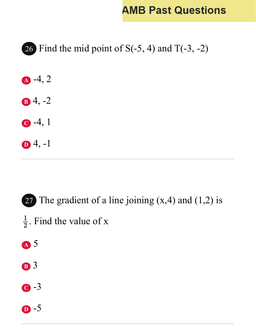### **AMB Past Questions**



27 The gradient of a line joining  $(x,4)$  and  $(1,2)$  is  $\frac{1}{2}$ . Find the value of x **<sup>A</sup>** 5 **<sup>B</sup>** 3

- **<sup>C</sup>** -3
- **<sup>D</sup>** -5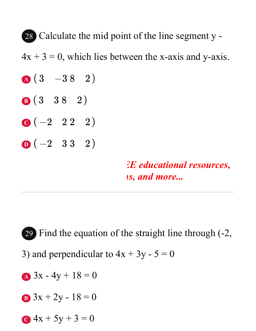28 Calculate the mid point of the line segment y -  $4x + 3 = 0$ , which lies between the x-axis and y-axis.  $\textbf{A} \begin{pmatrix} 3 & -38 & 2 \end{pmatrix}$ **B**(3 38 2) **C**  $(-2 \quad 2 \quad 2 \quad 2)$  $D(-2 \quad 3 \quad 3 \quad 2)$ *EE educational resources, is, and more...* 

29 Find the equation of the straight line through (-2, 3) and perpendicular to  $4x + 3y - 5 = 0$ **A**  $3x - 4y + 18 = 0$ **B**  $3x + 2y - 18 = 0$ 

**C**  $4x + 5y + 3 = 0$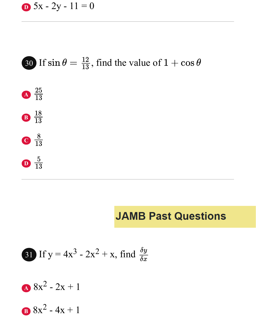$$
5x - 2y - 11 = 0
$$



#### **JAMB Past Questions**

31 If 
$$
y = 4x^3 - 2x^2 + x
$$
, find  $\frac{\delta y}{\delta x}$ 

$$
8x^2-2x+1
$$

**B**  $8x^2 - 4x + 1$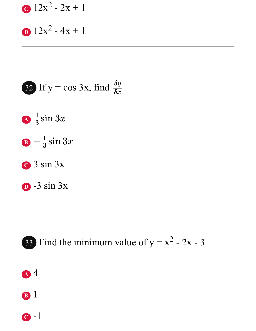$$
12x^2 - 2x + 1
$$

$$
12x^2-4x+1
$$

32 If 
$$
y = \cos 3x
$$
, find  $\frac{\delta y}{\delta x}$ 

- $\Delta \frac{1}{3}$ sin 3x
- $\mathbf{B} \frac{1}{3}\sin 3x$
- $\bullet$  3 sin 3x
- $D 3 \sin 3x$



- A 4
- **B** 1

 $\bullet$  -1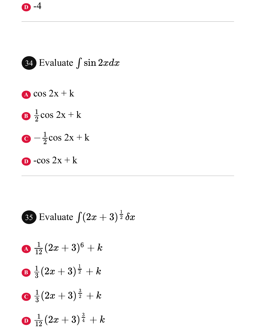

**35** Evaluate 
$$
\int (2x+3)^{\frac{1}{2}} \delta x
$$

$$
\Delta\;\frac{1}{12}(2x+3)^6 + k
$$

- **B**  $\frac{1}{3}(2x+3)^{\frac{1}{2}}+k$  $\Big) \frac{1}{2}$  $\frac{1}{2}$
- **C**  $\frac{1}{3}(2x+3)^{\frac{3}{2}}+k$  $\Big)^{\frac{3}{2}}$  $\frac{3}{2}$
- **D**  $\frac{1}{12}(2x+3)^{\frac{3}{4}}+k$  $\Big) \frac{3}{4}$  $\frac{3}{4}$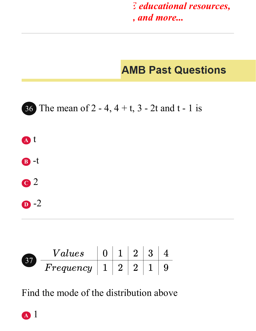$E$  *educational resources, school news, past questions, and more...*

## **AMB Past Questions**



|  | $^\prime\,alues$ |  |  |  |
|--|------------------|--|--|--|
|  | $F$ requency     |  |  |  |

Find the mode of the distribution above

**<sup>A</sup>** 1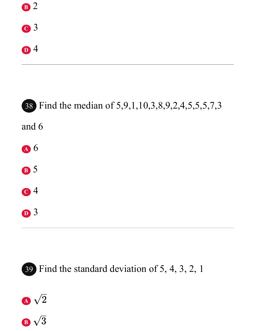





39 Find the standard deviation of 5, 4, 3, 2, 1



**B**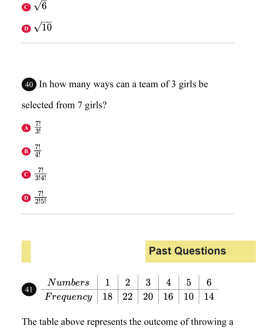

**D**

# 40 In how many ways can a team of 3 girls be selected from 7 girls? **A B C**  $rac{7!}{3!}$  $rac{7!}{4!}$  $\frac{7!}{3!4!}$  $\frac{7!}{2!5!}$

|                   | <b>Past Questions</b>                               |  |  |  |  |               |    |  |
|-------------------|-----------------------------------------------------|--|--|--|--|---------------|----|--|
|                   | $Numbers$   1   2   3   4                           |  |  |  |  | $\frac{1}{5}$ |    |  |
| $\left(41\right)$ | $Frequency \mid 18 \mid 22 \mid 20 \mid 16 \mid 10$ |  |  |  |  |               | 14 |  |

The table above represents the outcome of throwing a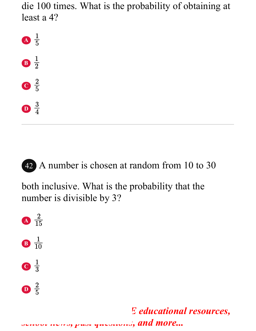die 100 times. What is the probability of obtaining at least a 4?





42 A number is chosen at random from 10 to 30

both inclusive. What is the probability that the number is divisible by 3?



 $E$  *educational resources, school news, past questions, and more...*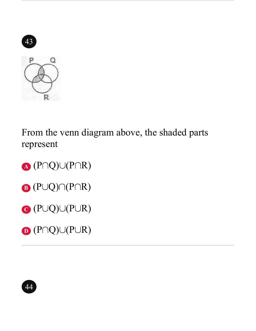

From the venn diagram above, the shaded parts represent

**A** (P∩Q)∪(P∩R) **B**  $(P \cup Q) \cap (P \cap R)$  $\mathbf{C}$  (P $\cup$ Q) $\cup$ (P $\cup$ R)

**D** (P∩Q)∪(P∪R)

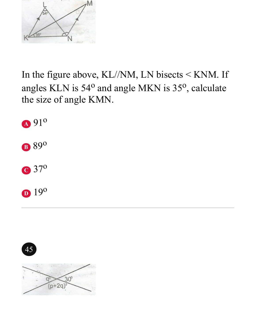

In the figure above, KL//NM, LN bisects < KNM. If angles KLN is 54<sup>o</sup> and angle MKN is 35<sup>o</sup>, calculate the size of angle KMN.





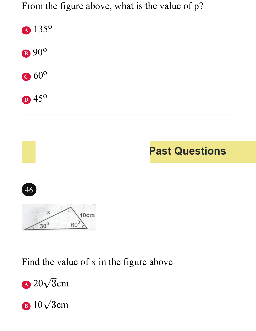From the figure above, what is the value of p?



## **Past Questions**





#### Find the value of x in the figure above



**B**  $10\sqrt{3}$ cm  $\overline{a}$  $\sqrt{3}c$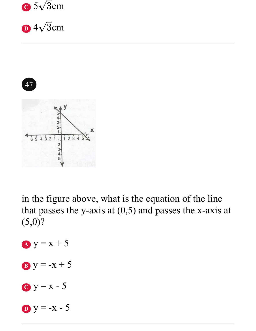

**D**  $4\sqrt{3}$ cm  $\overline{a}$  $\sqrt{3}c$ 



in the figure above, what is the equation of the line that passes the y-axis at  $(0,5)$  and passes the x-axis at (5,0)?

- **A**  $y = x + 5$
- **B**  $y = -x + 5$
- $C_y = x 5$

 $y = -x - 5$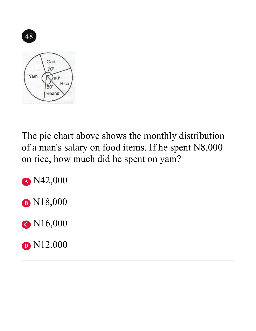

The pie chart above shows the monthly distribution of a man's salary on food items. If he spent N8,000 on rice, how much did he spent on yam?

**<sup>A</sup>** N42,000

**<sup>B</sup>** N18,000

**<sup>C</sup>** N16,000

**D** N12,000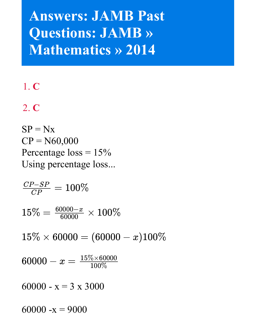# **Answers: JAMB Past Questions: JAMB » Mathematics » 2014**

#### 1. **C**

## 2. **C**

 $SP = Nx$  $CP = N60,000$ Percentage  $loss = 15%$ Using percentage loss...

 $\overline{CP_-}$  $C\bar{F}$  $\frac{S}{CP}$  $\frac{SP}{P} = 100\%$ 

 $15\% = \frac{600}{60}$  $\frac{00}{00}$  $\frac{00}{00}$  $\frac{0}{00}$  $\frac{-x}{00}$  $\frac{x}{\sqrt{2}} \times 100 \%$ 

 $15\% \times 60000 = (60000 - x)100\%$ 

 $60000 - x = \frac{15\% \times 60000}{100\%}$ 100%

60000 -  $x = 3 \times 3000$ 

60000 -x = 9000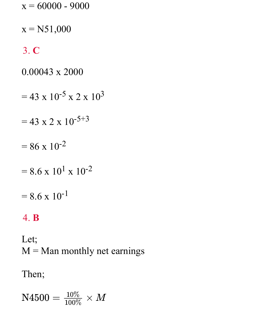$$
x = 60000 - 9000
$$

 $x = N51,000$ 

### 3. **C**

0.00043 x 2000

- $= 43 \times 10^{-5} \times 2 \times 10^{3}$
- $= 43 \times 2 \times 10^{-5+3}$
- $= 86 \times 10^{-2}$
- $= 8.6 \times 10^{1} \times 10^{-2}$

$$
= 8.6 \times 10^{-1}
$$

#### 4. **B**

Let;  $M =$ Man monthly net earnings

#### Then;

 $N4500 = \overline{1}$  $\frac{10}{100}$  $\frac{0^{\circ}}{0^{\circ}}$  $\frac{\%}{\%} \times M$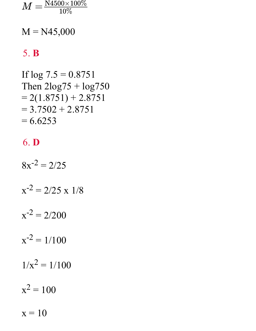$$
M=\tfrac{\rm N4500\times 100\%}{10\%}
$$

 $M = N45,000$ 

#### 5. B

If 
$$
\log 7.5 = 0.8751
$$
  
\nThen  $2\log 75 + \log 750$   
\n $= 2(1.8751) + 2.8751$   
\n $= 3.7502 + 2.8751$   
\n $= 6.6253$ 

#### 6. D

 $8x^{-2} = 2/25$  $x^{-2} = 2/25$  x 1/8  $x^{-2} = 2/200$  $x^{-2} = 1/100$  $1/x^2 = 1/100$  $x^2 = 100$  $x = 10$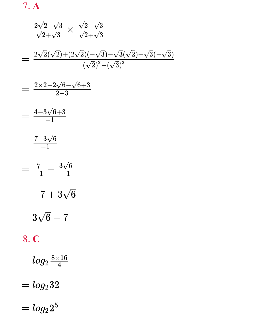7. **A**

$$
= \frac{2\sqrt{2}-\sqrt{3}}{\sqrt{2}+\sqrt{3}} \times \frac{\sqrt{2}-\sqrt{3}}{\sqrt{2}+\sqrt{3}}
$$
  
\n
$$
= \frac{2\sqrt{2}(\sqrt{2})+(2\sqrt{2})(-\sqrt{3})-\sqrt{3}(\sqrt{2})-\sqrt{3}(-\sqrt{3})}{(\sqrt{2})^2-(\sqrt{3})^2}
$$
  
\n
$$
= \frac{2\times2-2\sqrt{6}-\sqrt{6}+3}{2-3}
$$
  
\n
$$
= \frac{4-3\sqrt{6}+3}{-1}
$$
  
\n
$$
= \frac{7-3\sqrt{6}}{-1}
$$
  
\n
$$
= \frac{7}{-1}-\frac{3\sqrt{6}}{-1}
$$
  
\n
$$
= -7+3\sqrt{6}
$$
  
\n
$$
= 3\sqrt{6}-7
$$
  
\n8. C  
\n
$$
= \log_2 \frac{8\times16}{4}
$$
  
\n
$$
= \log_2 32
$$
  
\n
$$
= \log_2 2^5
$$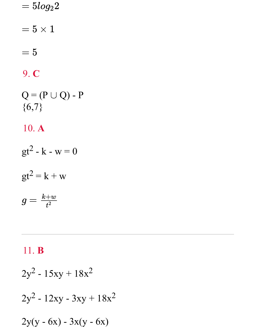$=5log_22$ 

 $=5\times1$ 

 $=5\,$ 

### 9. C

 $Q = (P \cup Q) - P$  ${6,7}$ 

10. A

 $gt^2 - k - w = 0$ 

$$
gt^2 = k + w
$$

$$
g=\tfrac{k+w}{t^2}
$$

#### 11. B

$$
2y^2 - 15xy + 18x^2
$$
  

$$
2y^2 - 12xy - 3xy + 18x^2
$$
  

$$
2y(y - 6x) - 3x(y - 6x)
$$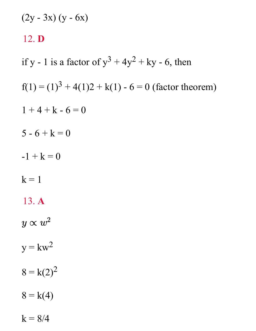$$
(2y - 3x) (y - 6x)
$$
  
12. **D**  
if y - 1 is a factor of y<sup>3</sup> + 4y<sup>2</sup> + ky - 6, then  
f(1) = (1)<sup>3</sup> + 4(1)2 + k(1) - 6 = 0 (factor theorem)  
1 + 4 + k - 6 = 0  
5 - 6 + k = 0  
-1 + k = 0  
k = 1  
13. **A**  
 $y \propto w^2$   
y = kw<sup>2</sup>  
8 = k(2)<sup>2</sup>  
8 = k(4)

 $k = 8/4$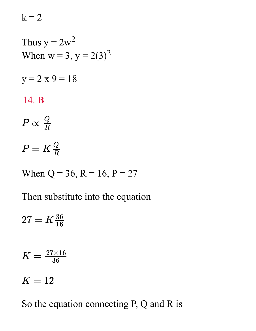$k = 2$ 

Thus 
$$
y = 2w^2
$$
.  
\nWhen  $w = 3$ ,  $y = 2(3)^2$ .

 $y = 2 x 9 = 18$ 

#### 14. **B**

$$
P\propto \frac{Q}{R}
$$

 $P=K\frac{Q}{R}$  .  $\boldsymbol{R}_\perp$ 

When  $Q = 36$ ,  $R = 16$ ,  $P = 27$ 

Then substitute into the equation

 $27=K \frac{36}{16}$ 

$$
K=\tfrac{27\times 16}{36}
$$

$$
K=12
$$

So the equation connecting P, Q and R is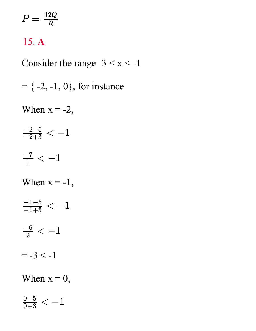$$
P=\tfrac{12Q}{R}
$$

#### 15. **A**

Consider the range  $-3 < x < -1$ 

 $= \{ -2, -1, 0 \}$ , for instance

When  $x = -2$ ,

$$
\tfrac{-2-5}{-2+3} < -1
$$

$$
\tfrac{-7}{1} < -1
$$

When  $x = -1$ ,

$$
\tfrac{-1-5}{-1+3} < -1
$$

$$
\tfrac{-6}{2}<-1
$$

 $= -3 < -1$ 

When  $x = 0$ ,

$$
\tfrac{0-5}{0+3}<-1
$$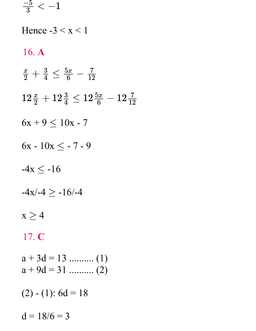$\frac{-5}{3} < -1$ 

Hence  $-3 < x < 1$ 16. A  $\frac{x}{2} + \frac{3}{4} \leq \frac{5x}{6} - \frac{7}{12}$  $12\frac{x}{2}+12\frac{3}{4} \leq 12\frac{5x}{6}-12\frac{7}{12}$  $6x + 9 \le 10x - 7$  $6x - 10x \le -7 - 9$  $-4x \le -16$  $-4x/-4 \ge -16/-4$  $x \geq 4$ 17. C  $a + 3d = 13$  .......... (1)  $a + 9d = 31$  .......... (2)

$$
(2) - (1): 6d = 18
$$

$$
d = 18/6 = 3
$$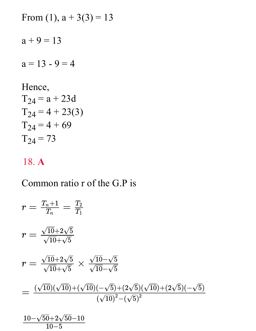From (1), 
$$
a + 3(3) = 13
$$
  
 $a + 9 = 13$   
 $a = 13 - 9 = 4$ 

Hence,  
\n
$$
T_{24} = a + 23d
$$
  
\n $T_{24} = 4 + 23(3)$   
\n $T_{24} = 4 + 69$   
\n $T_{24} = 73$ 

#### 18. **A**

### Common ratio r of the G.P is

$$
r = \frac{T_n + 1}{T_n} = \frac{T_2}{T_1}
$$
  
\n
$$
r = \frac{\sqrt{10} + 2\sqrt{5}}{\sqrt{10} + \sqrt{5}}
$$
  
\n
$$
r = \frac{\sqrt{10} + 2\sqrt{5}}{\sqrt{10} + \sqrt{5}} \times \frac{\sqrt{10} - \sqrt{5}}{\sqrt{10} - \sqrt{5}}
$$
  
\n
$$
= \frac{(\sqrt{10})(\sqrt{10}) + (\sqrt{10})(-\sqrt{5}) + (2\sqrt{5})(\sqrt{10}) + (2\sqrt{5})(-\sqrt{5})}{(\sqrt{10})^2 - (\sqrt{5})^2}
$$

$$
\frac{10-\sqrt{50}{+2}\sqrt{50}{-10}}{10{-5}}
$$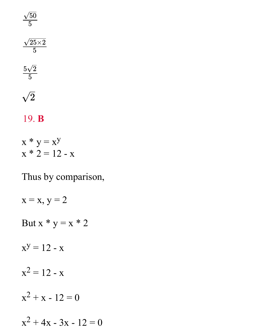$$
\frac{\sqrt{50}}{5}
$$
\n
$$
\frac{\sqrt{25 \times 2}}{5}
$$
\n
$$
\frac{5\sqrt{2}}{5}
$$
\n
$$
\sqrt{2}
$$

#### 19. B

 $x * y = x^y$  $x * 2 = 12 - x$ 

Thus by comparison,

 $x = x$ ,  $y = 2$ But  $x * y = x * 2$  $x^y = 12 - x$  $x^2 = 12 - x$  $x^2 + x - 12 = 0$  $x^2 + 4x - 3x - 12 = 0$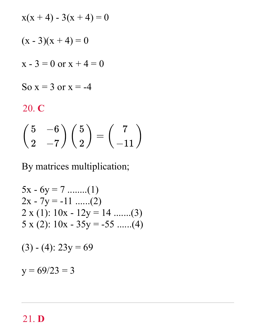$$
x(x+4) - 3(x+4) = 0
$$
  
(x - 3)(x + 4) = 0  
x - 3 = 0 or x + 4 = 0  
So x = 3 or x = -4  
20. C  

$$
\begin{pmatrix} 5 & -6 \\ 2 & -7 \end{pmatrix} \begin{pmatrix} 5 \\ 2 \end{pmatrix} = \begin{pmatrix} 7 \\ -11 \end{pmatrix}
$$

By matrices multiplication;

$$
5x - 6y = 7 \dots (1)
$$
  
2x - 7y = -11 \dots (2)  
2 x (1): 10x - 12y = 14 \dots (3)  
5 x (2): 10x - 35y = -55 \dots (4)

$$
(3) - (4): 23y = 69
$$

 $y = 69/23 = 3$ 

#### 21. D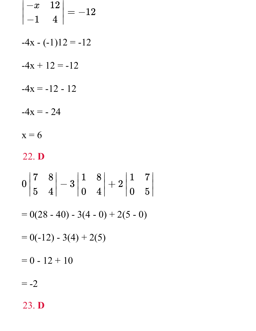$$
\begin{vmatrix} -x & 12 \ -1 & 4 \end{vmatrix} = -12
$$
  
\n-4x - (-1)12 = -12  
\n-4x + 12 = -12  
\n-4x = -12 - 12  
\n-4x = -24  
\nx = 6  
\n22. **D**  
\n0  $\begin{vmatrix} 7 & 8 \ 5 & 4 \end{vmatrix} - 3 \begin{vmatrix} 1 & 8 \ 0 & 4 \end{vmatrix} + 2 \begin{vmatrix} 1 & 7 \ 0 & 5 \end{vmatrix}$   
\n= 0(28 - 40) - 3(4 - 0) + 2(5 - 0)  
\n= 0(-12) - 3(4) + 2(5)  
\n= 0 - 12 + 10  
\n= -2

7

∣∣

5∣

23. **D**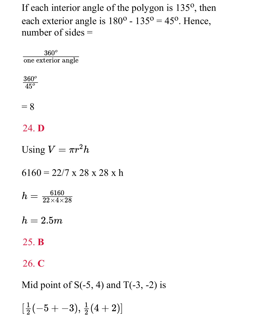If each interior angle of the polygon is 135<sup>o</sup>, then each exterior angle is  $180^{\circ}$  -  $135^{\circ}$  = 45°. Hence, number of sides =

 $360^o$ one exterior angle

 $360^o$  $\overline{45^o}$ 

 $= 8$ 

#### 24. **D**

Using  $V = \pi r^2 h$ 

 $6160 = 22/7$  x 28 x 28 x h

 $h=\frac{6160}{22\times4\times28}$ 

 $h = 2.5m$ 

25. **B**

26. **C**

Mid point of  $S(-5, 4)$  and  $T(-3, -2)$  is

 $[\frac{1}{2}(-5 + -3), \frac{1}{2}(4 + 2)]$  $\frac{1}{2}$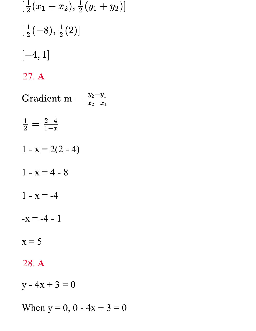$$
[\frac{1}{2}(x_1 + x_2), \frac{1}{2}(y_1 + y_2)]
$$
  
\n
$$
[\frac{1}{2}(-8), \frac{1}{2}(2)]
$$
  
\n[-4, 1]  
\n27. A  
\nGradient m =  $\frac{y_2 - y_1}{x_2 - x_1}$   
\n $\frac{1}{2} = \frac{2-4}{1-x}$   
\n1 - x = 2(2 - 4)  
\n1 - x = 4 - 8  
\n1 - x = -4  
\n-x = -4 - 1  
\nx = 5  
\n28. A  
\ny - 4x + 3 = 0

When  $y = 0$ , 0 - 4x + 3 = 0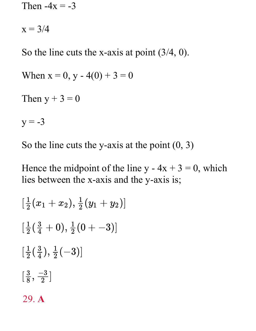Then  $-4x = -3$  $x = 3/4$ So the line cuts the x-axis at point (3/4, 0). When  $x = 0$ ,  $y - 4(0) + 3 = 0$ Then  $y + 3 = 0$  $y = -3$ 

So the line cuts the y-axis at the point  $(0, 3)$ 

Hence the midpoint of the line  $y - 4x + 3 = 0$ , which lies between the x-axis and the y-axis is;

$$
\begin{aligned}[ \tfrac{1}{2}&(x_1+x_2),\tfrac{1}{2}(y_1+y_2) ]\\&\textcolor{red}{[\tfrac{1}{2}(\tfrac{3}{4}+0),\tfrac{1}{2}(0+-3)]}\\&\textcolor{red}{[\tfrac{1}{2}(\tfrac{3}{4}),\tfrac{1}{2}(-3)]}\end{aligned}
$$

#### 29. **A**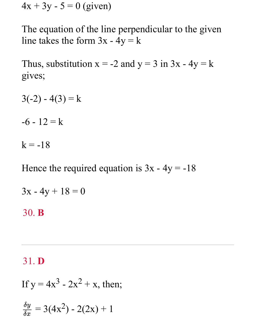$4x + 3y - 5 = 0$  (given)

The equation of the line perpendicular to the given line takes the form  $3x - 4y = k$ 

Thus, substitution  $x = -2$  and  $y = 3$  in  $3x - 4y = k$ gives;

 $3(-2) - 4(3) = k$ 

 $-6 - 12 = k$ 

 $k = -18$ 

Hence the required equation is  $3x - 4y = -18$ 

$$
3x - 4y + 18 = 0
$$

30. **B**

31. **D**

If  $y = 4x^3 - 2x^2 + x$ , then;

$$
\frac{\delta y}{\delta x} = 3(4x^2) - 2(2x) + 1
$$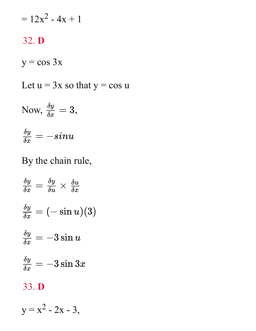$$
= 12x^2 - 4x + 1
$$

#### 32. **D**

 $y = cos 3x$ 

Let  $u = 3x$  so that  $y = cos u$ 

Now, 
$$
\frac{\delta y}{\delta x} = 3
$$
,

$$
\tfrac{\delta y}{\delta x}=-sinu
$$

### By the chain rule,

$$
\frac{\delta y}{\delta x} = \frac{\delta y}{\delta u} \times \frac{\delta u}{\delta x}
$$

$$
\frac{\delta y}{\delta x} = (-\sin u)(3)
$$

$$
\frac{\delta y}{\delta x} = -3\sin u
$$

$$
\frac{\delta y}{\delta x} = -3\sin 3x
$$
33. **D**

$$
y = x^2 - 2x - 3,
$$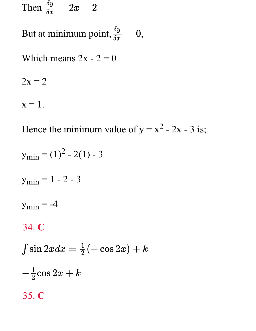Then 
$$
\frac{\delta y}{\delta x} = 2x - 2
$$

But at minimum point,  $\frac{\delta y}{\delta x} = 0$ ,

Which means  $2x - 2 = 0$ 

 $2x = 2$ 

 $x=1$ .

Hence the minimum value of  $y = x^2 - 2x - 3$  is;

 $y_{\text{min}} = (1)^2 - 2(1) - 3$  $y_{\text{min}} = 1 - 2 - 3$  $y_{\text{min}} = -4$ 34. C  $\int \sin 2x dx = \frac{1}{2}(-\cos 2x) + k$  $-\frac{1}{2}\cos 2x + k$ 35. C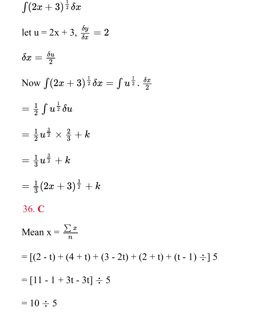$\int (2x+3)^{\frac{1}{2}} \delta x$ let u = 2x + 3,  $\frac{\delta y}{\delta x} = 2$  $\delta x=\frac{\delta u}{2}$ Now  $\int (2x+3)^{\frac{1}{2}} \delta x = \int u^{\frac{1}{2}} \cdot \frac{\delta x}{2}$  $=\frac{1}{2}\int u^{\frac{1}{2}}\delta u$  $=\frac{1}{2}u^{\frac{3}{2}} \times \frac{2}{3} + k$  $=\frac{1}{3}u^{\frac{3}{2}}+k$  $=\frac{1}{3}(2x+3)^{\frac{3}{2}}+k$ 36. C Mean  $x = \frac{\sum x}{n}$  $= [(2 - t) + (4 + t) + (3 - 2t) + (2 + t) + (t - 1) \div] 5$  $= [11 - 1 + 3t - 3t] \div 5$  $= 10 \div 5$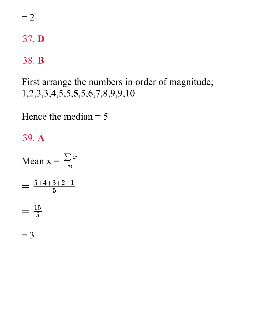$=2$ 

37. D

#### 38. B

First arrange the numbers in order of magnitude; 1,2,3,3,4,5,5,5,5,6,7,8,9,9,10

Hence the median  $=$  5

#### 39. A

Mean  $x = \frac{\sum x}{n}$  $=\frac{5+4+3+2+1}{5}$  $=\frac{15}{5}$ 

 $=$  3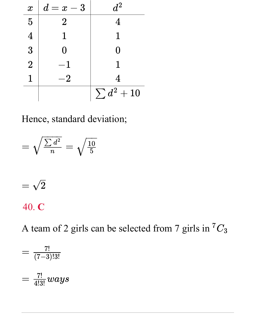| $\boldsymbol{x}$ | $d=x-3$        | $d^2$           |
|------------------|----------------|-----------------|
| $\overline{5}$   | $\overline{2}$ | 4               |
| $\overline{4}$   |                | 1               |
| 3                | [ ]            | 0               |
| $\overline{2}$   |                |                 |
|                  | $\dot{2}$      | 4               |
|                  |                | $\sum d^2 + 10$ |

Hence, standard deviation;

$$
=\sqrt{\frac{\sum d^2}{n}}=\sqrt{\frac{10}{5}}
$$

$$
= \sqrt{2}
$$

#### 40. **C**

A team of 2 girls can be selected from 7 girls in  ${}^{7}C_3$ 

$$
=\frac{7!}{(7-3)!3!}
$$

$$
=\frac{7!}{4!3!} ways
$$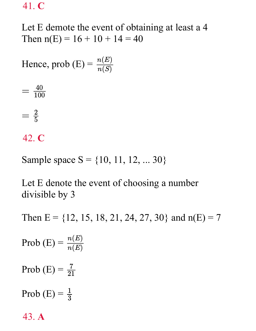41. **C**

Let E demote the event of obtaining at least a 4 Then  $n(E) = 16 + 10 + 14 = 40$ 

Hence, prob (E) = 
$$
\frac{n(E)}{n(S)}
$$



42. **C**

Sample space  $S = \{10, 11, 12, ... 30\}$ 

Let E denote the event of choosing a number divisible by 3

Then  $E = \{12, 15, 18, 21, 24, 27, 30\}$  and  $n(E) = 7$ 

Prob  $(E) = -$ Prob (E) =  $\frac{7}{21}$ Prob  $(E) = \frac{1}{3}$ 43. **A**  $n(E)$  $\overline{n(E)}$ 3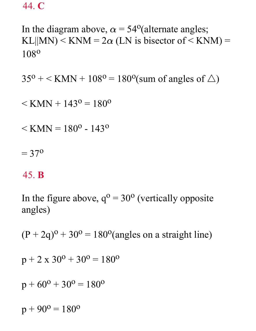44. **C**

In the diagram above,  $\alpha = 54^{\circ}$  (alternate angles; KL $||MN|$  < KNM = 2 $\alpha$  (LN is bisector of < KNM) = 108<sup>o</sup>

 $35^{\circ}$  + < KMN +  $108^{\circ}$  =  $180^{\circ}$ (sum of angles of  $\triangle$ )

 $\leq$  KMN + 143<sup>o</sup> = 180<sup>o</sup>

 $\leq$  KMN = 180<sup>o</sup> - 143<sup>o</sup>

 $= 37^{\circ}$ 

#### 45. **B**

In the figure above,  $q^0 = 30^0$  (vertically opposite angles)

 $(P + 2q)^{o} + 30^{o} = 180^{o}$  (angles on a straight line)

$$
p + 2 \times 30^{\circ} + 30^{\circ} = 180^{\circ}
$$

$$
p + 60^{\circ} + 30^{\circ} = 180^{\circ}
$$

 $p + 90^{\circ} = 180^{\circ}$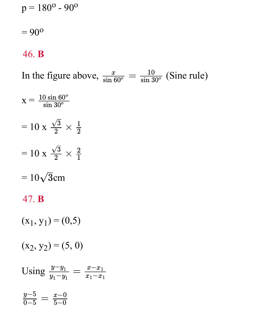$p = 180^{\circ} - 90^{\circ}$ 

 $= 90^{\circ}$ 

#### 46. B

In the figure above,  $\frac{x}{\sin 60^\circ} = \frac{10}{\sin 30^\circ}$  (Sine rule)  $X = \frac{10 \sin 60^\circ}{\sin 30^\circ}$  $= 10 \text{ x } \frac{\sqrt{3}}{2} \times \frac{1}{2}$  $= 10 \text{ x } \frac{\sqrt{3}}{2} \times \frac{2}{1}$  $=10\sqrt{3}$ cm 47. **B**  $(x_1, y_1) = (0, 5)$  $(x_2, y_2) = (5, 0)$ 

Using  $\frac{y-y_1}{y_1-y_1} = \frac{x-x_1}{x_1-x_1}$  $\frac{y-5}{0-5} = \frac{x-0}{5-0}$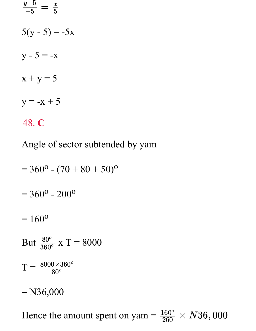$5(y - 5) = -5x$  $y - 5 = -x$  $x + y = 5$  $y = -x + 5$ 48. **C**  $=$  $\frac{2}{1}$  $y-5$  $-5$  $\overline{x}$  $\overline{\overline{5}}$ 

Angle of sector subtended by yam

$$
= 360^{\circ} - (70 + 80 + 50)^{\circ}
$$
  
= 360^{\circ} - 200^{\circ}  
= 160^{\circ}  
But  $\frac{80^{\circ}}{360^{\circ}}$  x T = 8000  
T =  $\frac{8000 \times 360^{\circ}}{80^{\circ}}$   
= N36,000

Hence the amount spent on yam =  $\frac{160^{\circ}}{260} \times N36,000$  $\overline{\overline{260}}$